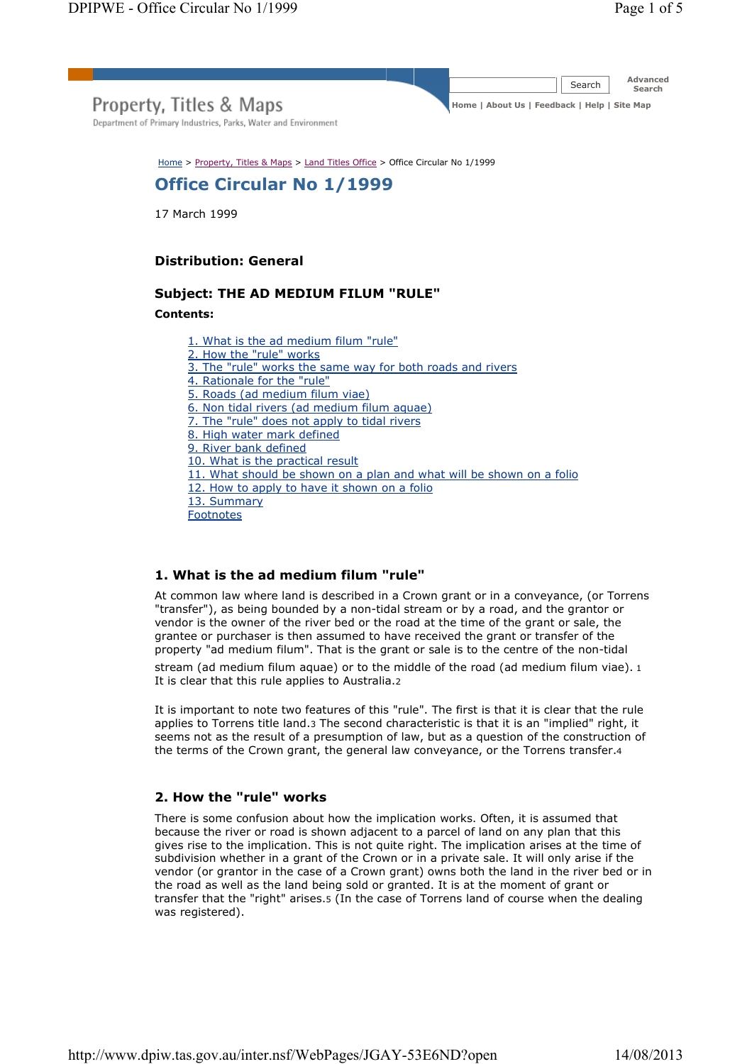# Property, Titles & Maps

Department of Primary Industries, Parks, Water and Environment



Home > Property, Titles & Maps > Land Titles Office > Office Circular No 1/1999

# Office Circular No 1/1999

17 March 1999

## Distribution: General

# Subject: THE AD MEDIUM FILUM "RULE"

#### Contents:

1. What is the ad medium filum "rule" 2. How the "rule" works 3. The "rule" works the same way for both roads and rivers 4. Rationale for the "rule" 5. Roads (ad medium filum viae) 6. Non tidal rivers (ad medium filum aquae) 7. The "rule" does not apply to tidal rivers 8. High water mark defined 9. River bank defined 10. What is the practical result 11. What should be shown on a plan and what will be shown on a folio 12. How to apply to have it shown on a folio 13. Summary Footnotes

# 1. What is the ad medium filum "rule"

At common law where land is described in a Crown grant or in a conveyance, (or Torrens "transfer"), as being bounded by a non-tidal stream or by a road, and the grantor or vendor is the owner of the river bed or the road at the time of the grant or sale, the grantee or purchaser is then assumed to have received the grant or transfer of the property "ad medium filum". That is the grant or sale is to the centre of the non-tidal

stream (ad medium filum aquae) or to the middle of the road (ad medium filum viae). 1 It is clear that this rule applies to Australia.2

It is important to note two features of this "rule". The first is that it is clear that the rule applies to Torrens title land.3 The second characteristic is that it is an "implied" right, it seems not as the result of a presumption of law, but as a question of the construction of the terms of the Crown grant, the general law conveyance, or the Torrens transfer.4

### 2. How the "rule" works

There is some confusion about how the implication works. Often, it is assumed that because the river or road is shown adjacent to a parcel of land on any plan that this gives rise to the implication. This is not quite right. The implication arises at the time of subdivision whether in a grant of the Crown or in a private sale. It will only arise if the vendor (or grantor in the case of a Crown grant) owns both the land in the river bed or in the road as well as the land being sold or granted. It is at the moment of grant or transfer that the "right" arises.5 (In the case of Torrens land of course when the dealing was registered).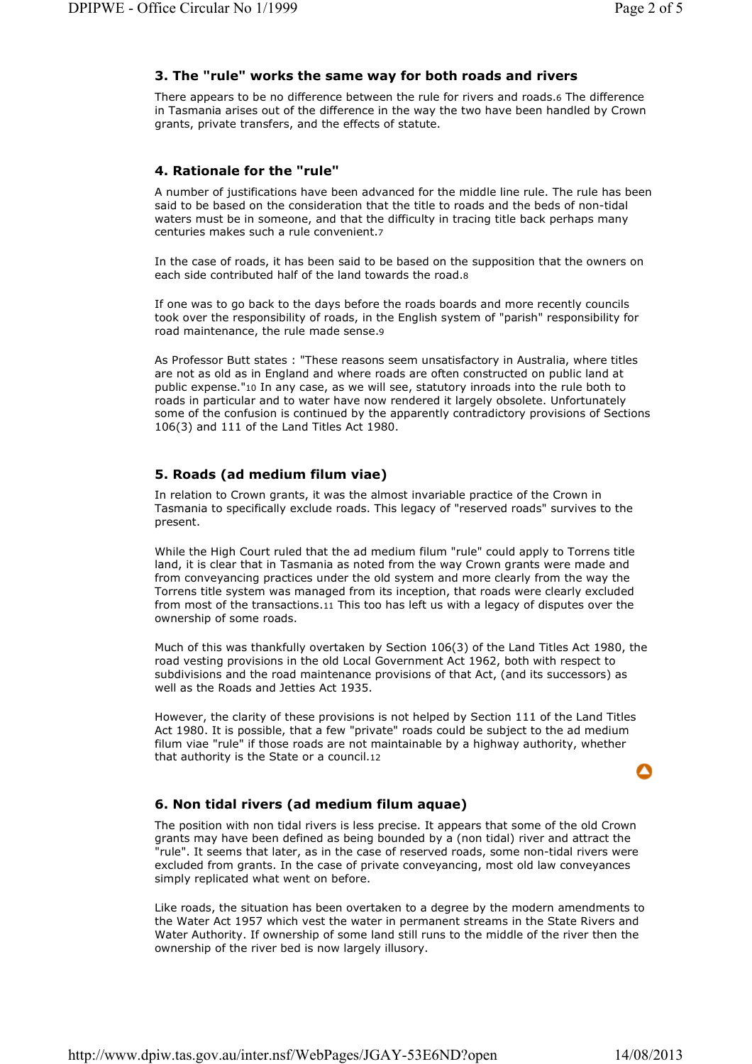# 3. The "rule" works the same way for both roads and rivers

There appears to be no difference between the rule for rivers and roads.6 The difference in Tasmania arises out of the difference in the way the two have been handled by Crown grants, private transfers, and the effects of statute.

# 4. Rationale for the "rule"

A number of justifications have been advanced for the middle line rule. The rule has been said to be based on the consideration that the title to roads and the beds of non-tidal waters must be in someone, and that the difficulty in tracing title back perhaps many centuries makes such a rule convenient.7

In the case of roads, it has been said to be based on the supposition that the owners on each side contributed half of the land towards the road.8

If one was to go back to the days before the roads boards and more recently councils took over the responsibility of roads, in the English system of "parish" responsibility for road maintenance, the rule made sense.9

As Professor Butt states : "These reasons seem unsatisfactory in Australia, where titles are not as old as in England and where roads are often constructed on public land at public expense."10 In any case, as we will see, statutory inroads into the rule both to roads in particular and to water have now rendered it largely obsolete. Unfortunately some of the confusion is continued by the apparently contradictory provisions of Sections 106(3) and 111 of the Land Titles Act 1980.

# 5. Roads (ad medium filum viae)

In relation to Crown grants, it was the almost invariable practice of the Crown in Tasmania to specifically exclude roads. This legacy of "reserved roads" survives to the present.

While the High Court ruled that the ad medium filum "rule" could apply to Torrens title land, it is clear that in Tasmania as noted from the way Crown grants were made and from conveyancing practices under the old system and more clearly from the way the Torrens title system was managed from its inception, that roads were clearly excluded from most of the transactions.11 This too has left us with a legacy of disputes over the ownership of some roads.

Much of this was thankfully overtaken by Section 106(3) of the Land Titles Act 1980, the road vesting provisions in the old Local Government Act 1962, both with respect to subdivisions and the road maintenance provisions of that Act, (and its successors) as well as the Roads and Jetties Act 1935.

However, the clarity of these provisions is not helped by Section 111 of the Land Titles Act 1980. It is possible, that a few "private" roads could be subject to the ad medium filum viae "rule" if those roads are not maintainable by a highway authority, whether that authority is the State or a council.12 Δ

# 6. Non tidal rivers (ad medium filum aquae)

The position with non tidal rivers is less precise. It appears that some of the old Crown grants may have been defined as being bounded by a (non tidal) river and attract the "rule". It seems that later, as in the case of reserved roads, some non-tidal rivers were excluded from grants. In the case of private conveyancing, most old law conveyances simply replicated what went on before.

Like roads, the situation has been overtaken to a degree by the modern amendments to the Water Act 1957 which vest the water in permanent streams in the State Rivers and Water Authority. If ownership of some land still runs to the middle of the river then the ownership of the river bed is now largely illusory.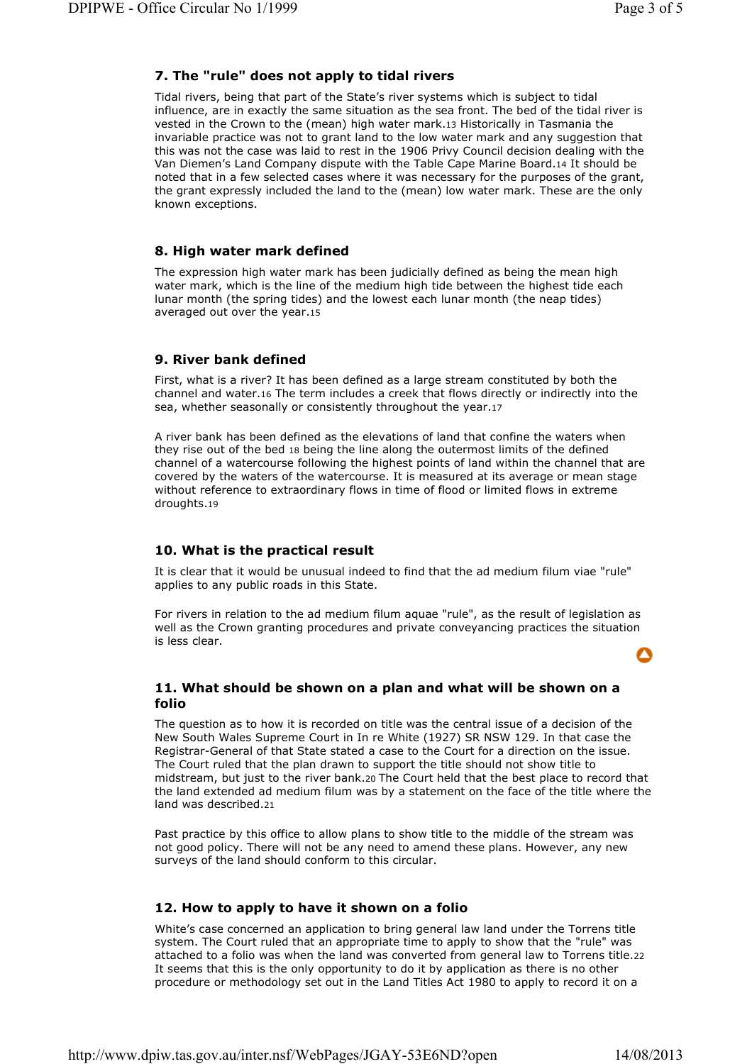### 7. The "rule" does not apply to tidal rivers

Tidal rivers, being that part of the State's river systems which is subject to tidal influence, are in exactly the same situation as the sea front. The bed of the tidal river is vested in the Crown to the (mean) high water mark.13 Historically in Tasmania the invariable practice was not to grant land to the low water mark and any suggestion that this was not the case was laid to rest in the 1906 Privy Council decision dealing with the Van Diemen's Land Company dispute with the Table Cape Marine Board.14 It should be noted that in a few selected cases where it was necessary for the purposes of the grant, the grant expressly included the land to the (mean) low water mark. These are the only known exceptions.

#### 8. High water mark defined

The expression high water mark has been judicially defined as being the mean high water mark, which is the line of the medium high tide between the highest tide each lunar month (the spring tides) and the lowest each lunar month (the neap tides) averaged out over the year.15

#### 9. River bank defined

First, what is a river? It has been defined as a large stream constituted by both the channel and water.16 The term includes a creek that flows directly or indirectly into the sea, whether seasonally or consistently throughout the year.17

A river bank has been defined as the elevations of land that confine the waters when they rise out of the bed 18 being the line along the outermost limits of the defined channel of a watercourse following the highest points of land within the channel that are covered by the waters of the watercourse. It is measured at its average or mean stage without reference to extraordinary flows in time of flood or limited flows in extreme droughts.19

### 10. What is the practical result

It is clear that it would be unusual indeed to find that the ad medium filum viae "rule" applies to any public roads in this State.

For rivers in relation to the ad medium filum aquae "rule", as the result of legislation as well as the Crown granting procedures and private conveyancing practices the situation is less clear.

#### 11. What should be shown on a plan and what will be shown on a folio

The question as to how it is recorded on title was the central issue of a decision of the New South Wales Supreme Court in In re White (1927) SR NSW 129. In that case the Registrar-General of that State stated a case to the Court for a direction on the issue. The Court ruled that the plan drawn to support the title should not show title to midstream, but just to the river bank.20 The Court held that the best place to record that the land extended ad medium filum was by a statement on the face of the title where the land was described.21

Past practice by this office to allow plans to show title to the middle of the stream was not good policy. There will not be any need to amend these plans. However, any new surveys of the land should conform to this circular.

### 12. How to apply to have it shown on a folio

White's case concerned an application to bring general law land under the Torrens title system. The Court ruled that an appropriate time to apply to show that the "rule" was attached to a folio was when the land was converted from general law to Torrens title.22 It seems that this is the only opportunity to do it by application as there is no other procedure or methodology set out in the Land Titles Act 1980 to apply to record it on a

Λ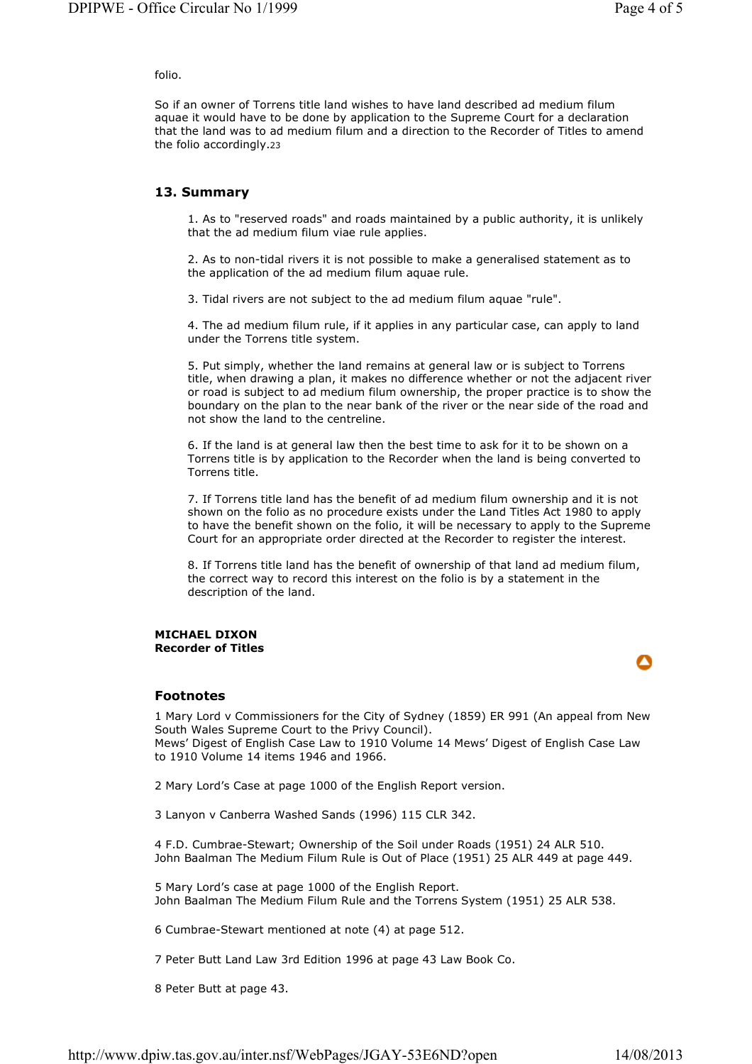#### folio.

So if an owner of Torrens title land wishes to have land described ad medium filum aquae it would have to be done by application to the Supreme Court for a declaration that the land was to ad medium filum and a direction to the Recorder of Titles to amend the folio accordingly.23

#### 13. Summary

1. As to "reserved roads" and roads maintained by a public authority, it is unlikely that the ad medium filum viae rule applies.

2. As to non-tidal rivers it is not possible to make a generalised statement as to the application of the ad medium filum aquae rule.

3. Tidal rivers are not subject to the ad medium filum aquae "rule".

4. The ad medium filum rule, if it applies in any particular case, can apply to land under the Torrens title system.

5. Put simply, whether the land remains at general law or is subject to Torrens title, when drawing a plan, it makes no difference whether or not the adjacent river or road is subject to ad medium filum ownership, the proper practice is to show the boundary on the plan to the near bank of the river or the near side of the road and not show the land to the centreline.

6. If the land is at general law then the best time to ask for it to be shown on a Torrens title is by application to the Recorder when the land is being converted to Torrens title.

7. If Torrens title land has the benefit of ad medium filum ownership and it is not shown on the folio as no procedure exists under the Land Titles Act 1980 to apply to have the benefit shown on the folio, it will be necessary to apply to the Supreme Court for an appropriate order directed at the Recorder to register the interest.

8. If Torrens title land has the benefit of ownership of that land ad medium filum, the correct way to record this interest on the folio is by a statement in the description of the land.

#### MICHAEL DIXON Recorder of Titles

# Δ

#### Footnotes

1 Mary Lord v Commissioners for the City of Sydney (1859) ER 991 (An appeal from New South Wales Supreme Court to the Privy Council). Mews' Digest of English Case Law to 1910 Volume 14 Mews' Digest of English Case Law

to 1910 Volume 14 items 1946 and 1966.

2 Mary Lord's Case at page 1000 of the English Report version.

3 Lanyon v Canberra Washed Sands (1996) 115 CLR 342.

4 F.D. Cumbrae-Stewart; Ownership of the Soil under Roads (1951) 24 ALR 510. John Baalman The Medium Filum Rule is Out of Place (1951) 25 ALR 449 at page 449.

5 Mary Lord's case at page 1000 of the English Report. John Baalman The Medium Filum Rule and the Torrens System (1951) 25 ALR 538.

6 Cumbrae-Stewart mentioned at note (4) at page 512.

7 Peter Butt Land Law 3rd Edition 1996 at page 43 Law Book Co.

8 Peter Butt at page 43.